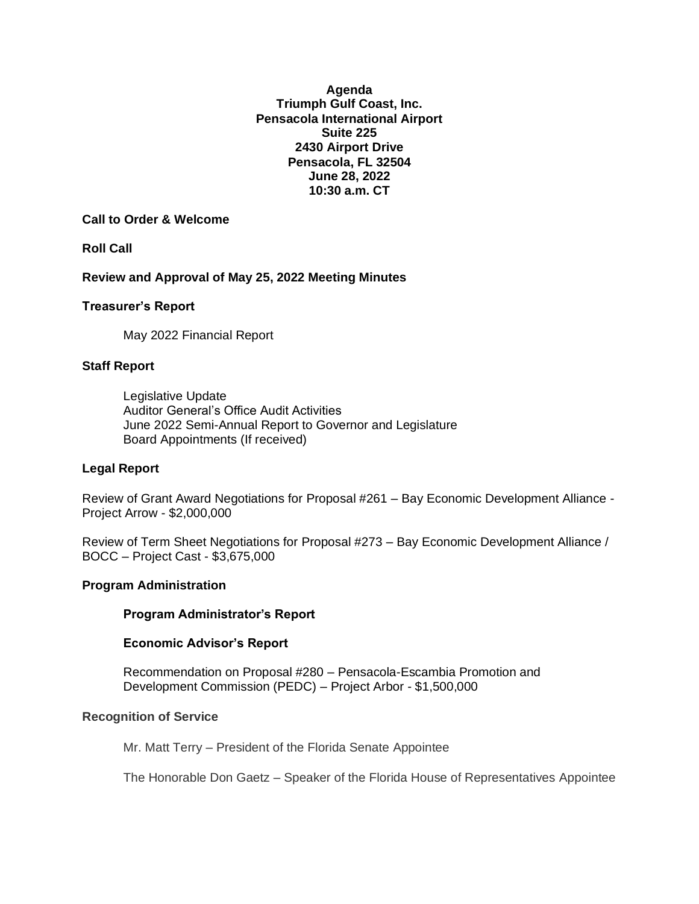**Agenda Triumph Gulf Coast, Inc. Pensacola International Airport Suite 225 2430 Airport Drive Pensacola, FL 32504 June 28, 2022 10:30 a.m. CT**

## **Call to Order & Welcome**

**Roll Call**

**Review and Approval of May 25, 2022 Meeting Minutes**

### **Treasurer's Report**

May 2022 Financial Report

### **Staff Report**

Legislative Update Auditor General's Office Audit Activities June 2022 Semi-Annual Report to Governor and Legislature Board Appointments (If received)

### **Legal Report**

Review of Grant Award Negotiations for Proposal #261 – Bay Economic Development Alliance - Project Arrow - \$2,000,000

Review of Term Sheet Negotiations for Proposal #273 – Bay Economic Development Alliance / BOCC – Project Cast - \$3,675,000

#### **Program Administration**

### **Program Administrator's Report**

### **Economic Advisor's Report**

Recommendation on Proposal #280 – Pensacola-Escambia Promotion and Development Commission (PEDC) – Project Arbor - \$1,500,000

#### **Recognition of Service**

Mr. Matt Terry – President of the Florida Senate Appointee

The Honorable Don Gaetz – Speaker of the Florida House of Representatives Appointee